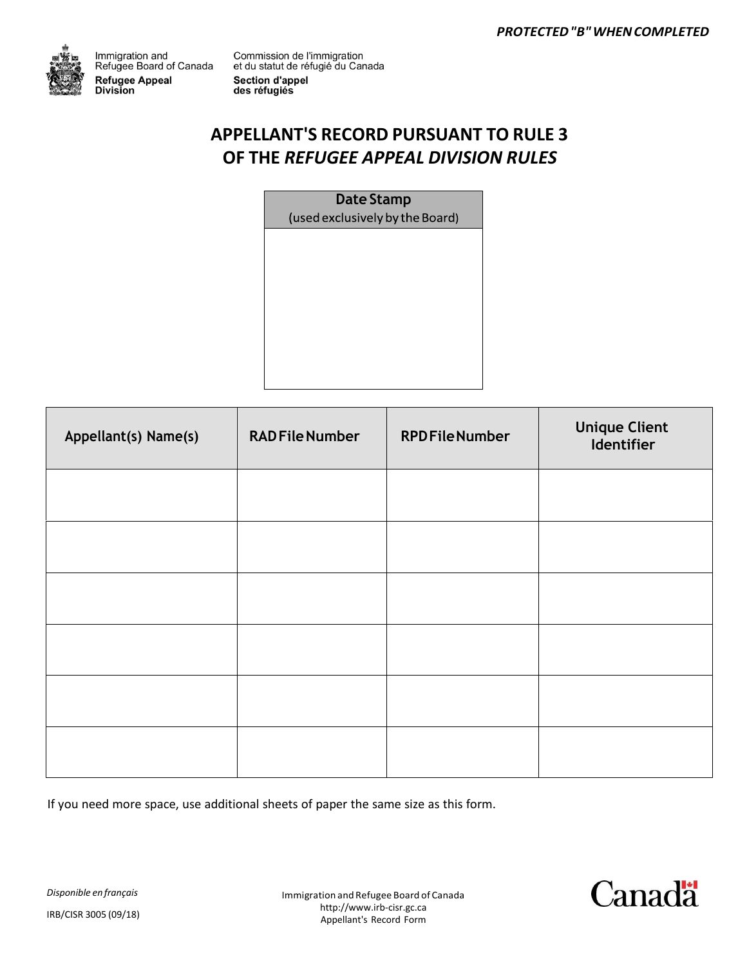

Immigration and<br>Refugee Board of Canada **Refugee Appeal** Division

Commission de l'immigration<br>et du statut de réfugié du Canada **Section d'appel** des réfugiés

# **APPELLANT'S RECORD PURSUANT TO RULE 3 OF THE** *REFUGEE APPEAL DIVISION RULES*

**Date Stamp**(used exclusively by the Board)

| Appellant(s) Name(s) | <b>RADFile Number</b> | <b>RPDFileNumber</b> | <b>Unique Client</b><br>Identifier |
|----------------------|-----------------------|----------------------|------------------------------------|
|                      |                       |                      |                                    |
|                      |                       |                      |                                    |
|                      |                       |                      |                                    |
|                      |                       |                      |                                    |
|                      |                       |                      |                                    |
|                      |                       |                      |                                    |

If you need more space, use additional sheets of paper the same size as this form.

*Disponible en français*

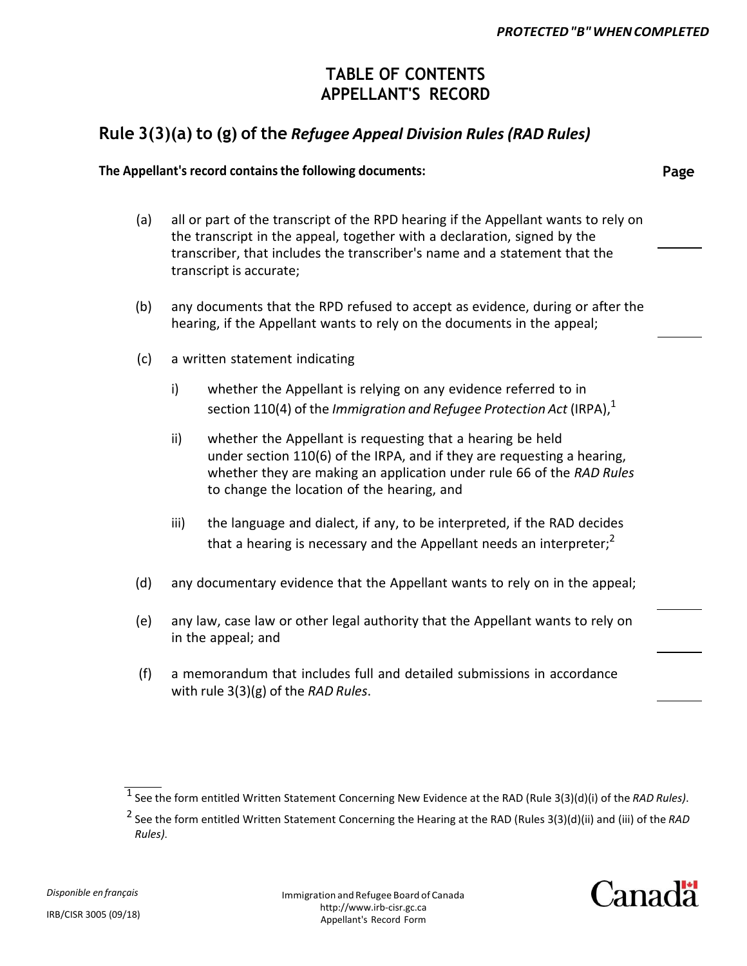### **TABLE OF CONTENTS APPELLANT'S RECORD**

### **Rule 3(3)(a) to (g) of the** *Refugee Appeal Division Rules (RAD Rules)*

#### **The Appellant's record contains the following documents: Page**

- (a) all or part of the transcript of the RPD hearing if the Appellant wants to rely on the transcript in the appeal, together with a declaration, signed by the transcriber, that includes the transcriber's name and a statement that the transcript is accurate;
- (b) any documents that the RPD refused to accept as evidence, during or after the hearing, if the Appellant wants to rely on the documents in the appeal;
- (c) a written statement indicating
	- i) whether the Appellant is relying on any evidence referred to in section 110(4) of the *Immigration and Refugee Protection Act* (IRPA),<sup>1</sup>
	- ii) whether the Appellant is requesting that a hearing be held under section 110(6) of the IRPA, and if they are requesting a hearing, whether they are making an application under rule 66 of the *RAD Rules* to change the location of the hearing, and
	- iii) the language and dialect, if any, to be interpreted, if the RAD decides that a hearing is necessary and the Appellant needs an interpreter; $<sup>2</sup>$ </sup>
- (d) any documentary evidence that the Appellant wants to rely on in the appeal;
- (e) any law, case law or other legal authority that the Appellant wants to rely on in the appeal; and
- (f) a memorandum that includes full and detailed submissions in accordance with rule 3(3)(g) of the *RAD Rules*.



<sup>1</sup> See the form entitled Written Statement Concerning New Evidence at the RAD (Rule 3(3)(d)(i) of the *RAD Rules)*.

<sup>2</sup> See the form entitled Written Statement Concerning the Hearing at the RAD (Rules 3(3)(d)(ii) and (iii) of the *RAD Rules)*.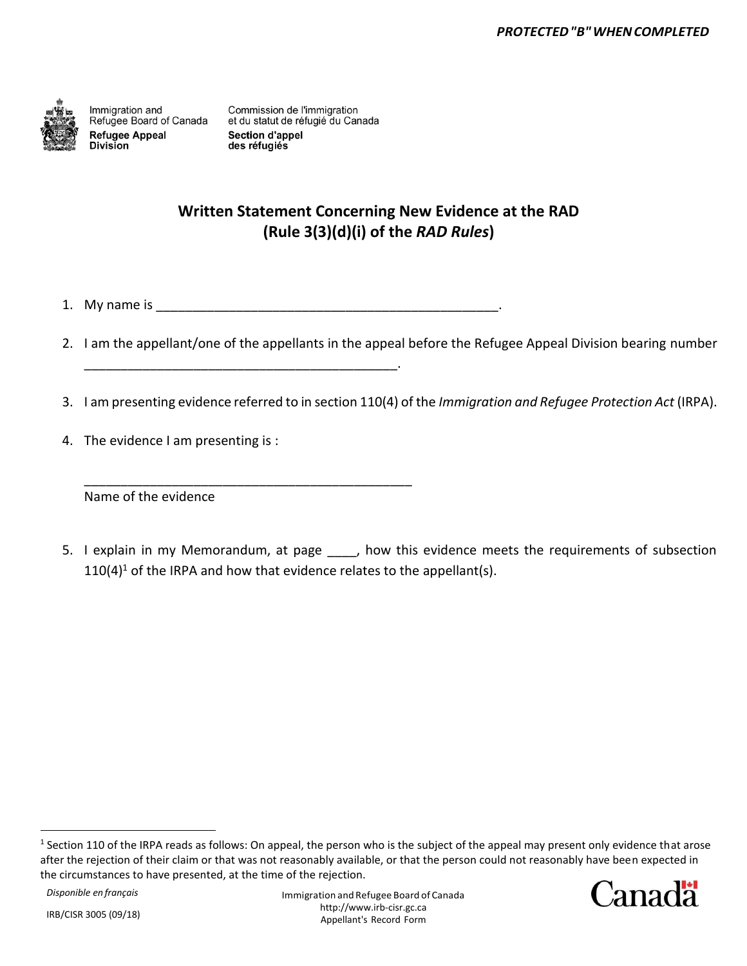

Immigration and Refugee Board of Canada **Refugee Appeal Division** 

Commission de l'immigration et du statut de réfugié du Canada **Section d'appel** des réfugiés

### **Written Statement Concerning New Evidence at the RAD (Rule 3(3)(d)(i) of the** *RAD Rules***)**

1. My name is \_\_\_\_\_\_\_\_\_\_\_\_\_\_\_\_\_\_\_\_\_\_\_\_\_\_\_\_\_\_\_\_\_\_\_\_\_\_\_\_\_\_\_\_\_\_\_.

\_\_\_\_\_\_\_\_\_\_\_\_\_\_\_\_\_\_\_\_\_\_\_\_\_\_\_\_\_\_\_\_\_\_\_\_\_\_\_\_\_\_\_.

\_\_\_\_\_\_\_\_\_\_\_\_\_\_\_\_\_\_\_\_\_\_\_\_\_\_\_\_\_\_\_\_\_\_\_\_\_\_\_\_\_\_\_\_\_

- 2. I am the appellant/one of the appellants in the appeal before the Refugee Appeal Division bearing number
- 3. I am presenting evidence referred to in section 110(4) of the *Immigration and Refugee Protection Act* (IRPA).
- 4. The evidence I am presenting is :

Name of the evidence

5. I explain in my Memorandum, at page , how this evidence meets the requirements of subsection  $110(4)^1$  of the IRPA and how that evidence relates to the appellant(s).

 $<sup>1</sup>$  Section 110 of the IRPA reads as follows: On appeal, the person who is the subject of the appeal may present only evidence that arose</sup> after the rejection of their claim or that was not reasonably available, or that the person could not reasonably have been expected in the circumstances to have presented, at the time of the rejection.

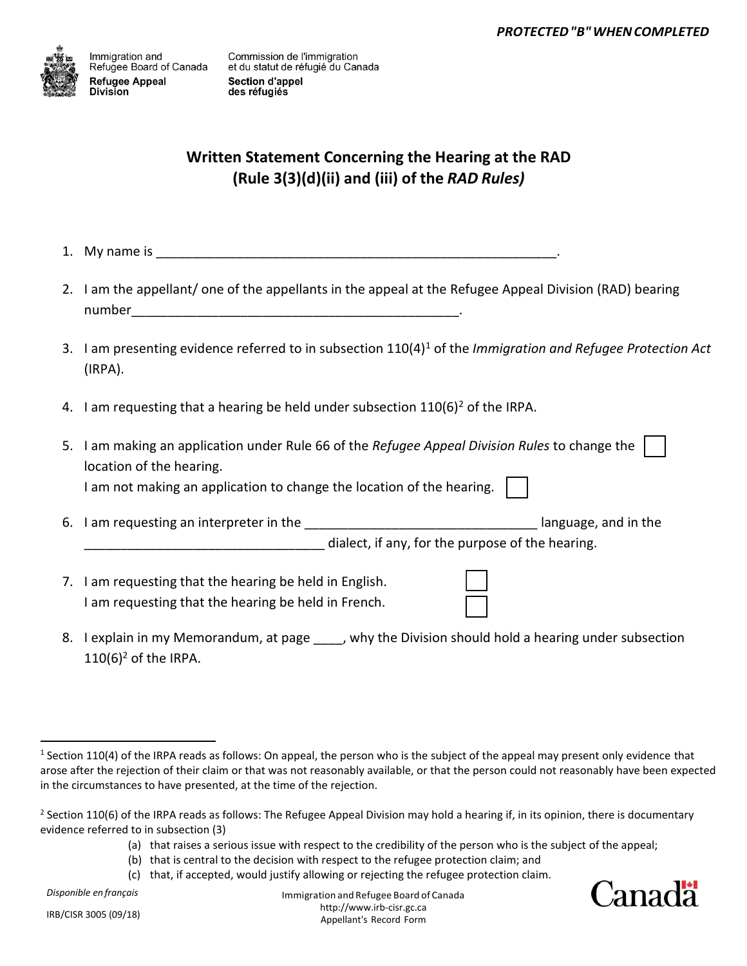

## **Written Statement Concerning the Hearing at the RAD (Rule 3(3)(d)(ii) and (iii) of the** *RAD Rules)*

- 1. My name is \_\_\_\_\_\_\_\_\_\_\_\_\_\_\_\_\_\_\_\_\_\_\_\_\_\_\_\_\_\_\_\_\_\_\_\_\_\_\_\_\_\_\_\_\_\_\_\_\_\_\_\_\_\_\_.
- 2. I am the appellant/ one of the appellants in the appeal at the Refugee Appeal Division (RAD) bearing number\_\_\_\_\_\_\_\_\_\_\_\_\_\_\_\_\_\_\_\_\_\_\_\_\_\_\_\_\_\_\_\_\_\_\_\_\_\_\_\_\_\_\_\_\_.
- 3. I am presenting evidence referred to in subsection 110(4)<sup>1</sup> of the *Immigration and Refugee Protection Act* (IRPA).
- 4. I am requesting that a hearing be held under subsection  $110(6)^2$  of the IRPA.

| 5. | I am making an application under Rule 66 of the Refugee Appeal Division Rules to change the |                                                  |  |
|----|---------------------------------------------------------------------------------------------|--------------------------------------------------|--|
|    | location of the hearing.                                                                    |                                                  |  |
|    | am not making an application to change the location of the hearing.                         |                                                  |  |
| 6. | I am requesting an interpreter in the                                                       | language, and in the                             |  |
|    |                                                                                             | dialect, if any, for the purpose of the hearing. |  |
|    | 7. I am requesting that the hearing be held in English.                                     |                                                  |  |

- am requesting that the hearing be held in English I am requesting that the hearing be held in French.
- 8. I explain in my Memorandum, at page , why the Division should hold a hearing under subsection  $110(6)^2$  of the IRPA.

*Disponible en français*

Immigration andRefugee Board of Canada http://www.irb-cisr.gc.ca Appellant's Record Form



<sup>&</sup>lt;sup>1</sup> Section 110(4) of the IRPA reads as follows: On appeal, the person who is the subject of the appeal may present only evidence that arose after the rejection of their claim or that was not reasonably available, or that the person could not reasonably have been expected in the circumstances to have presented, at the time of the rejection.

<sup>&</sup>lt;sup>2</sup> Section 110(6) of the IRPA reads as follows: The Refugee Appeal Division may hold a hearing if, in its opinion, there is documentary evidence referred to in subsection (3)

<sup>(</sup>a) that raises a serious issue with respect to the credibility of the person who is the subject of the appeal;

<sup>(</sup>b) that is central to the decision with respect to the refugee protection claim; and

<sup>(</sup>c) that, if accepted, would justify allowing or rejecting the refugee protection claim.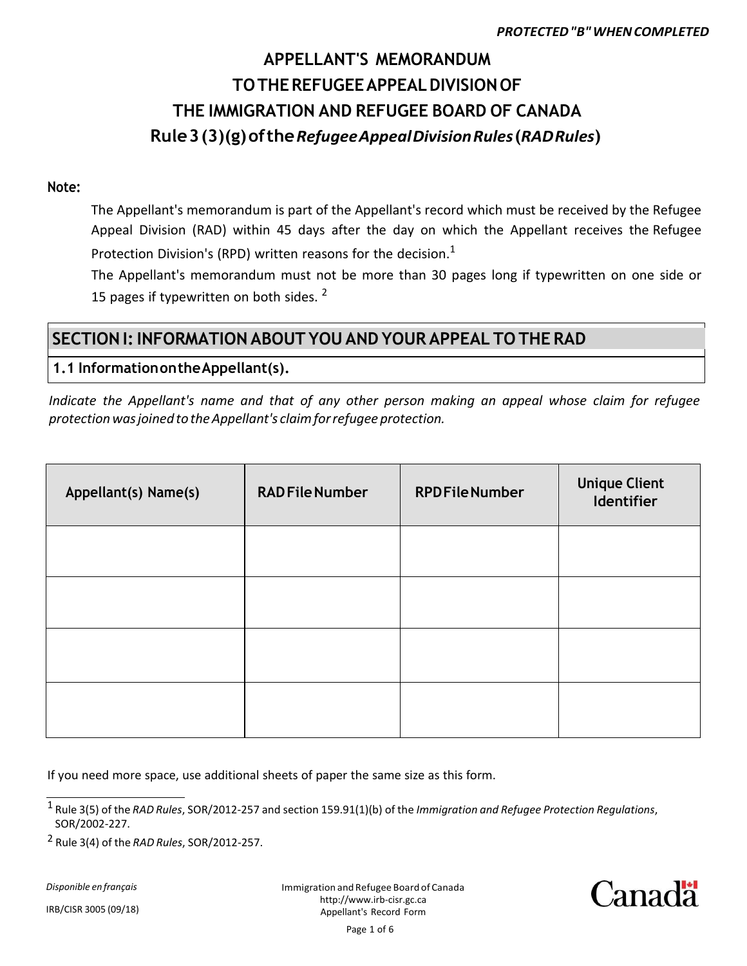# **Rule 3 (3)(g)ofthe***Refugee Appeal Division Rules***(***RAD Rules***) THE IMMIGRATION AND REFUGEE BOARD OF CANADA TOTHE REFUGEE APPEAL DIVISIONOF APPELLANT'S MEMORANDUM**

#### **Note:**

Protection Division's (RPD) written reasons for the decision. $<sup>1</sup>$ </sup> Appeal Division (RAD) within 45 days after the day on which the Appellant receives the Refugee The Appellant's memorandum is part of the Appellant's record which must be received by the Refugee

15 pages if typewritten on both sides.  $2^2$ The Appellant's memorandum must not be more than 30 pages long if typewritten on one side or

## **SECTIONI:INFORMATION ABOUT YOUAND YOUR APPEAL TO THE RAD**

#### **1.1 InformationontheAppellant(s).**

*Indicate the Appellant's name and that of any other person making an appeal whose claim for refugee protection was joined to the Appellant's claim for refugee protection.*

| Appellant(s) Name(s) | <b>RAD File Number</b> | <b>RPDFileNumber</b> | <b>Unique Client</b><br>Identifier |
|----------------------|------------------------|----------------------|------------------------------------|
|                      |                        |                      |                                    |
|                      |                        |                      |                                    |
|                      |                        |                      |                                    |
|                      |                        |                      |                                    |

If you need more space, use additional sheets of paper the same size as this form.

*Disponible en français*



<sup>1</sup> Rule 3(5) of the *RAD Rules*, SOR/2012-257 and section 159.91(1)(b) of the *Immigration and Refugee Protection Regulations*, SOR/2002-227.

<sup>2</sup> Rule 3(4) of the *RAD Rules*, SOR/2012-257.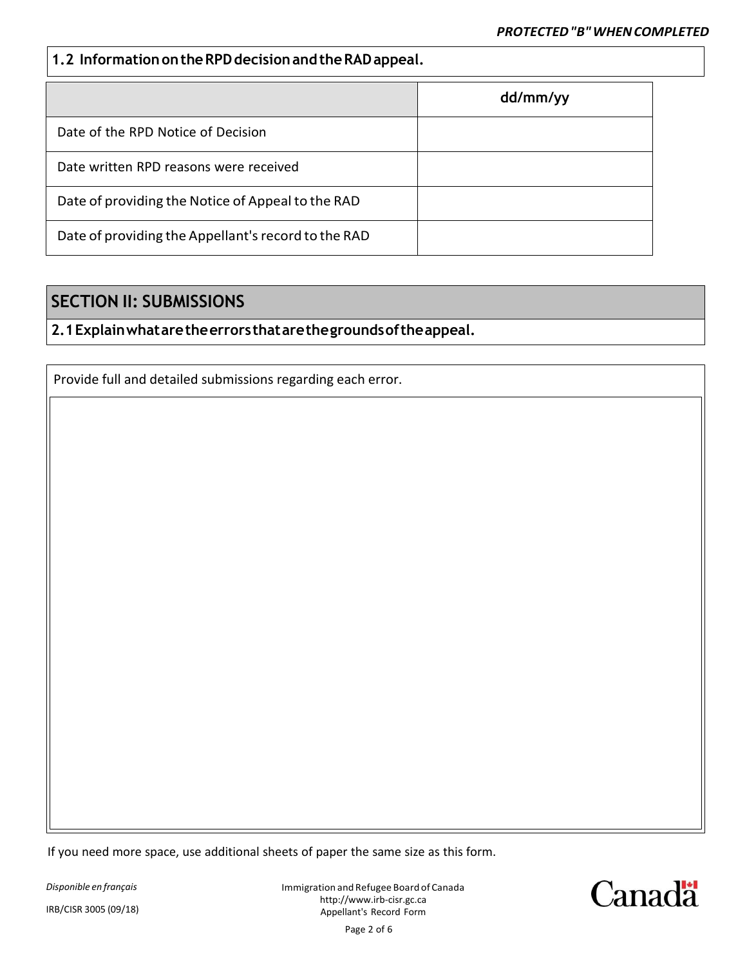#### **1.2 Information on the RPD decision and the RAD appeal.**

|                                                     | dd/mm/yy |
|-----------------------------------------------------|----------|
| Date of the RPD Notice of Decision                  |          |
| Date written RPD reasons were received              |          |
| Date of providing the Notice of Appeal to the RAD   |          |
| Date of providing the Appellant's record to the RAD |          |

### **SECTION II: SUBMISSIONS**

#### **2.1Explainwhataretheerrorsthatarethegroundsoftheappeal.**

Provide full and detailed submissions regarding each error.

If you need more space, use additional sheets of paper the same size as this form.

*Disponible en français*

IRB/CISR 3005 (09/18)

Immigration andRefugee Board of Canada http://www.irb-cisr.gc.ca Appellant's Record Form Page 2 of 6

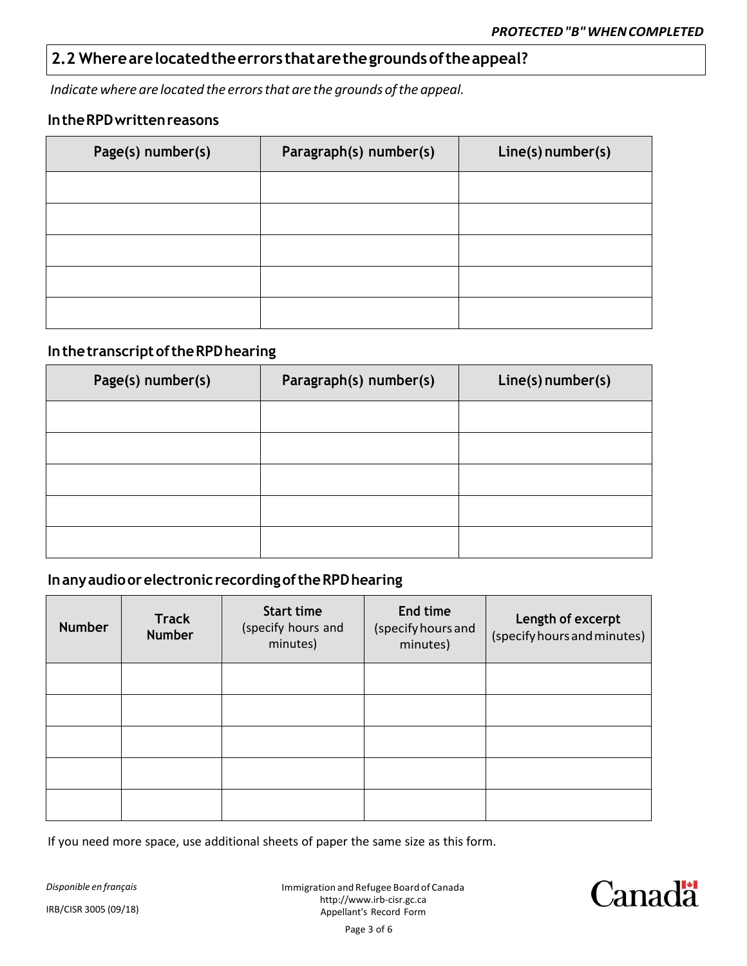### **2.2 Wherearelocatedtheerrors thatarethegroundsoftheappeal?**

*Indicate where are located the errors that are the grounds of the appeal.*

#### **In the RPD written reasons**

| Page(s) number(s) | Paragraph(s) number(s) | Line(s) number(s) |
|-------------------|------------------------|-------------------|
|                   |                        |                   |
|                   |                        |                   |
|                   |                        |                   |
|                   |                        |                   |
|                   |                        |                   |

#### **In the transcript of the RPD hearing**

| Page(s) number(s) | Paragraph(s) number(s) | Line(s) number(s) |
|-------------------|------------------------|-------------------|
|                   |                        |                   |
|                   |                        |                   |
|                   |                        |                   |
|                   |                        |                   |
|                   |                        |                   |

#### **In any audio or electronic recording of the RPD hearing**

| <b>Number</b> | <b>Track</b><br><b>Number</b> | <b>Start time</b><br>(specify hours and<br>minutes) | End time<br>(specify hours and<br>minutes) | Length of excerpt<br>(specify hours and minutes) |
|---------------|-------------------------------|-----------------------------------------------------|--------------------------------------------|--------------------------------------------------|
|               |                               |                                                     |                                            |                                                  |
|               |                               |                                                     |                                            |                                                  |
|               |                               |                                                     |                                            |                                                  |
|               |                               |                                                     |                                            |                                                  |
|               |                               |                                                     |                                            |                                                  |

If you need more space, use additional sheets of paper the same size as this form.

*Disponible en français* IRB/CISR 3005 (09/18)

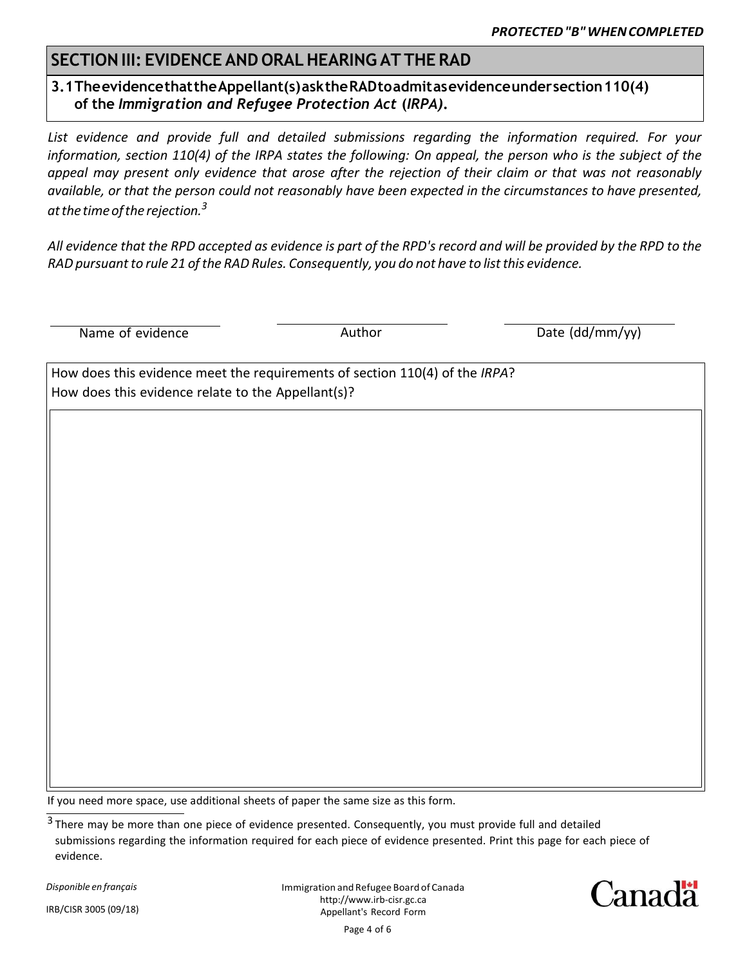### **SECTIONIII: EVIDENCE AND ORALHEARING AT THE RAD**

#### **3.1TheevidencethattheAppellant(s)asktheRADtoadmitasevidenceundersection110(4) of the** *Immigration and Refugee Protection Act* **(***IRPA)***.**

*List evidence and provide full and detailed submissions regarding the information required. For your information, section 110(4) of the IRPA states the following: On appeal, the person who is the subject of the appeal may present only evidence that arose after the rejection of their claim or that was not reasonably available, or that the person could not reasonably have been expected in the circumstances to have presented, at the time of the rejection.<sup>3</sup>*

*All evidence that the RPD accepted as evidence is part of the RPD's record and will be provided by the RPD to the RAD pursuant to rule 21 of the RAD Rules. Consequently, you do not have to list this evidence.*

Name of evidence and a set of the Author Author Control of the Unit Control of the Muslim Author Date (dd/mm/yy)

How does this evidence meet the requirements of section 110(4) of the *IRPA*? How does this evidence relate to the Appellant(s)?

If you need more space, use additional sheets of paper the same size as this form.

*Disponible en français*

IRB/CISR 3005 (09/18)

Immigration andRefugee Board of Canada http://www.irb-cisr.gc.ca Appellant's Record Form Page 4 of 6



<sup>&</sup>lt;sup>3</sup> There may be more than one piece of evidence presented. Consequently, you must provide full and detailed submissions regarding the information required for each piece of evidence presented. Print this page for each piece of evidence.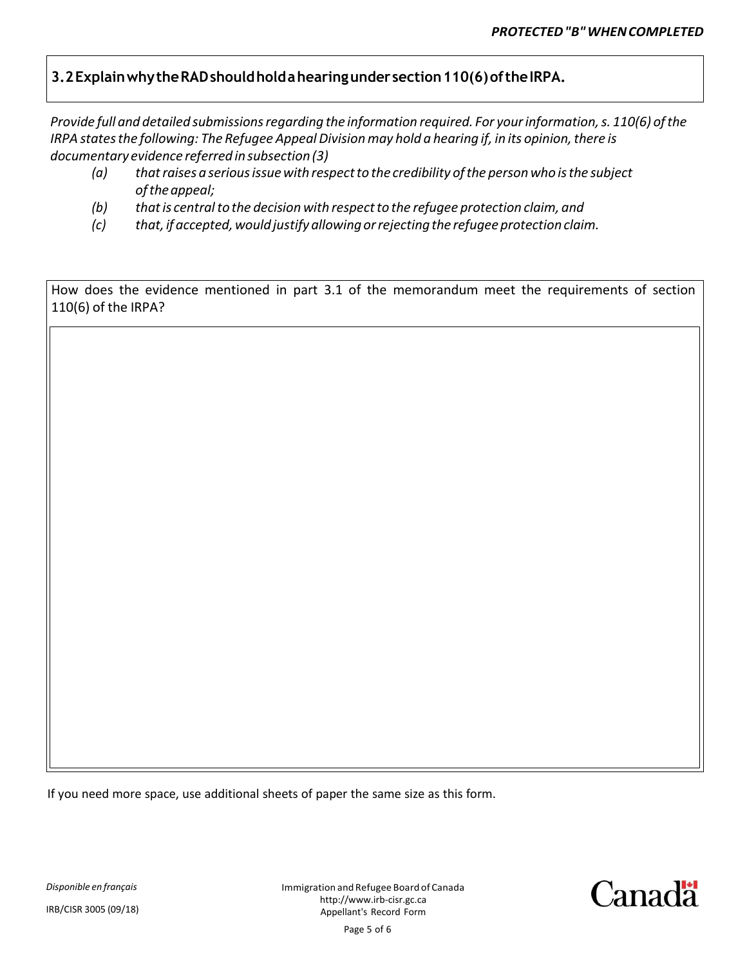#### **3.2ExplainwhytheRADshouldholdahearingunder section110(6)oftheIRPA.**

*Provide full and detailed submissions regarding the information required. For your information, s. 110(6) of the IRPA states the following: The Refugee Appeal Division may hold a hearing if, in its opinion, there is documentary evidence referred in subsection (3)*

- *(a) that raises a serious issue with respect to the credibility of the person who is the subject of the appeal;*
- *(b) that is central to the decision with respect to the refugee protection claim, and*
- *(c) that, if accepted, would justify allowing or rejecting the refugee protection claim.*

How does the evidence mentioned in part 3.1 of the memorandum meet the requirements of section 110(6) of the IRPA?

If you need more space, use additional sheets of paper the same size as this form.